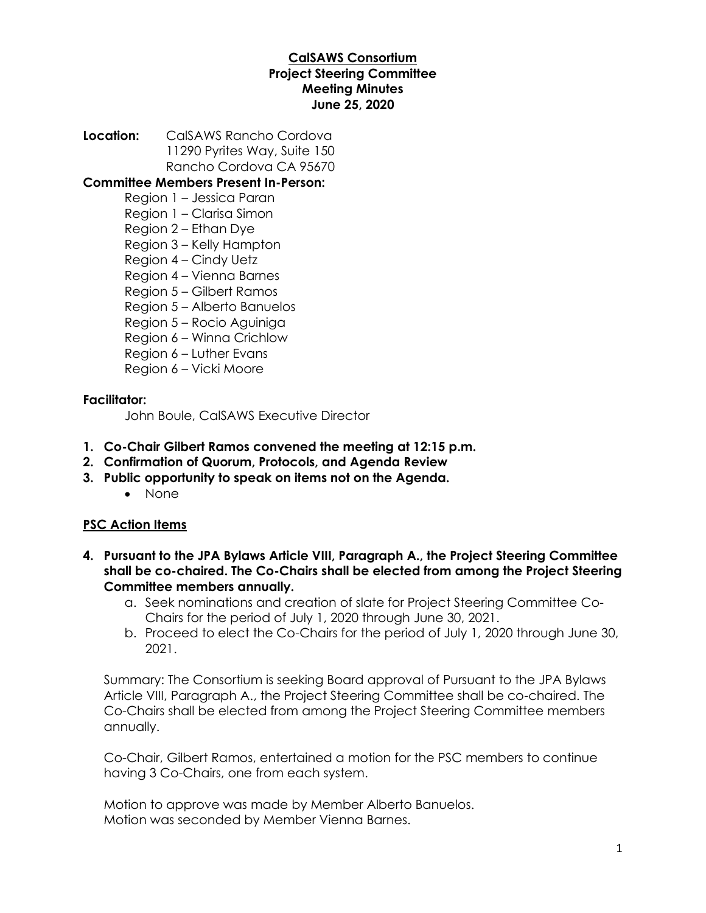# **CalSAWS Consortium Project Steering Committee Meeting Minutes June 25, 2020**

**Location:** CalSAWS Rancho Cordova 11290 Pyrites Way, Suite 150 Rancho Cordova CA 95670

## **Committee Members Present In-Person:**

- Region 1 Jessica Paran
- Region 1 Clarisa Simon
- Region 2 Ethan Dye
- Region 3 Kelly Hampton
- Region 4 Cindy Uetz
- Region 4 Vienna Barnes
- Region 5 Gilbert Ramos
- Region 5 Alberto Banuelos
- Region 5 Rocio Aguiniga
- Region 6 Winna Crichlow
- Region 6 Luther Evans
- Region 6 Vicki Moore

## **Facilitator:**

John Boule, CalSAWS Executive Director

- **1. Co-Chair Gilbert Ramos convened the meeting at 12:15 p.m.**
- **2. Confirmation of Quorum, Protocols, and Agenda Review**
- **3. Public opportunity to speak on items not on the Agenda.**
	- None

# **PSC Action Items**

- **4. Pursuant to the JPA Bylaws Article VIII, Paragraph A., the Project Steering Committee shall be co-chaired. The Co-Chairs shall be elected from among the Project Steering Committee members annually.**
	- a. Seek nominations and creation of slate for Project Steering Committee Co-Chairs for the period of July 1, 2020 through June 30, 2021.
	- b. Proceed to elect the Co-Chairs for the period of July 1, 2020 through June 30, 2021.

Summary: The Consortium is seeking Board approval of Pursuant to the JPA Bylaws Article VIII, Paragraph A., the Project Steering Committee shall be co-chaired. The Co-Chairs shall be elected from among the Project Steering Committee members annually.

Co-Chair, Gilbert Ramos, entertained a motion for the PSC members to continue having 3 Co-Chairs, one from each system.

Motion to approve was made by Member Alberto Banuelos. Motion was seconded by Member Vienna Barnes.